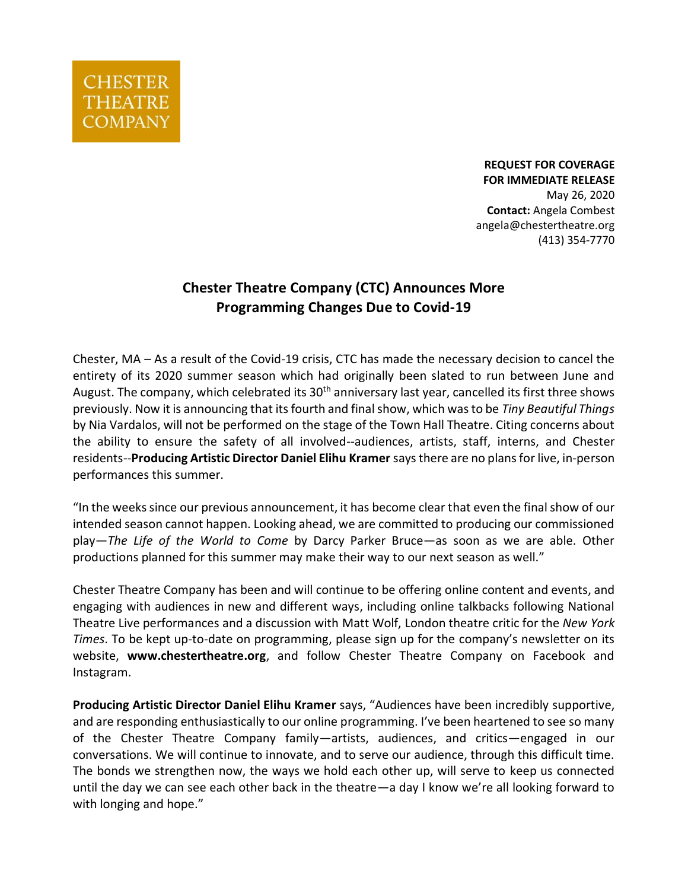

**REQUEST FOR COVERAGE FOR IMMEDIATE RELEASE**  May 26, 2020 **Contact:** Angela Combest angela@chestertheatre.org (413) 354-7770

## **Chester Theatre Company (CTC) Announces More Programming Changes Due to Covid-19**

Chester, MA – As a result of the Covid-19 crisis, CTC has made the necessary decision to cancel the entirety of its 2020 summer season which had originally been slated to run between June and August. The company, which celebrated its 30<sup>th</sup> anniversary last year, cancelled its first three shows previously. Now it is announcing that itsfourth and finalshow, which was to be *Tiny Beautiful Things* by Nia Vardalos, will not be performed on the stage of the Town Hall Theatre. Citing concerns about the ability to ensure the safety of all involved--audiences, artists, staff, interns, and Chester residents--**Producing Artistic Director Daniel Elihu Kramer** says there are no plans for live, in-person performances this summer.

"In the weeks since our previous announcement, it has become clear that even the final show of our intended season cannot happen. Looking ahead, we are committed to producing our commissioned play—*The Life of the World to Come* by Darcy Parker Bruce—as soon as we are able. Other productions planned for this summer may make their way to our next season as well."

Chester Theatre Company has been and will continue to be offering online content and events, and engaging with audiences in new and different ways, including online talkbacks following National Theatre Live performances and a discussion with Matt Wolf, London theatre critic for the *New York Times*. To be kept up-to-date on programming, please sign up for the company's newsletter on its website, **[www.chestertheatre.org](http://www.chestertheatre.org/)**, and follow Chester Theatre Company on Facebook and Instagram.

**Producing Artistic Director Daniel Elihu Kramer** says, "Audiences have been incredibly supportive, and are responding enthusiastically to our online programming. I've been heartened to see so many of the Chester Theatre Company family—artists, audiences, and critics—engaged in our conversations. We will continue to innovate, and to serve our audience, through this difficult time. The bonds we strengthen now, the ways we hold each other up, will serve to keep us connected until the day we can see each other back in the theatre—a day I know we're all looking forward to with longing and hope."